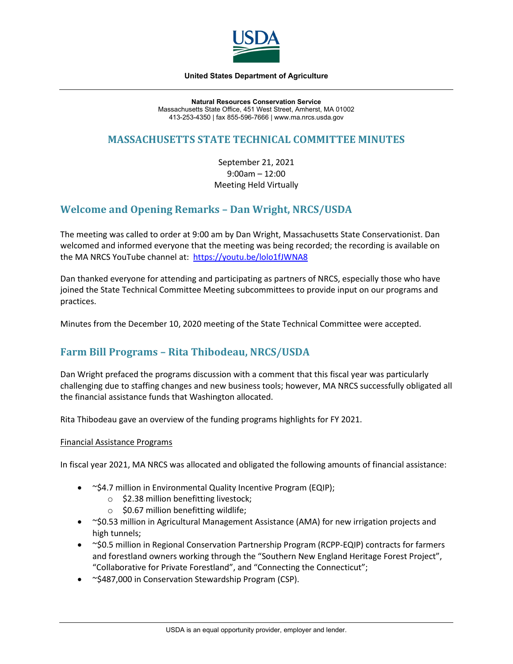

#### **United States Department of Agriculture**

**Natural Resources Conservation Service** Massachusetts State Office, 451 West Street, Amherst, MA 01002 413-253-4350 | fax 855-596-7666 | www.ma.nrcs.usda.gov

# **MASSACHUSETTS STATE TECHNICAL COMMITTEE MINUTES**

September 21, 2021 9:00am – 12:00 Meeting Held Virtually

# **Welcome and Opening Remarks – Dan Wright, NRCS/USDA**

The meeting was called to order at 9:00 am by Dan Wright, Massachusetts State Conservationist. Dan welcomed and informed everyone that the meeting was being recorded; the recording is available on the MA NRCS YouTube channel at: [https://youtu.be/lolo1fJWNA8](https://gcc02.safelinks.protection.outlook.com/?url=https%3A%2F%2Fyoutu.be%2Flolo1fJWNA8&data=04%7C01%7C%7C83505cadb118424033b008d981ea8801%7Ced5b36e701ee4ebc867ee03cfa0d4697%7C0%7C0%7C637683666567992854%7CUnknown%7CTWFpbGZsb3d8eyJWIjoiMC4wLjAwMDAiLCJQIjoiV2luMzIiLCJBTiI6Ik1haWwiLCJXVCI6Mn0%3D%7C1000&sdata=F2JxG8WcXi38FZtJpUNCxGiIYRmHEJi%2FRWREC6CVe%2BM%3D&reserved=0)

Dan thanked everyone for attending and participating as partners of NRCS, especially those who have joined the State Technical Committee Meeting subcommittees to provide input on our programs and practices.

Minutes from the December 10, 2020 meeting of the State Technical Committee were accepted.

# **Farm Bill Programs – Rita Thibodeau, NRCS/USDA**

Dan Wright prefaced the programs discussion with a comment that this fiscal year was particularly challenging due to staffing changes and new business tools; however, MA NRCS successfully obligated all the financial assistance funds that Washington allocated.

Rita Thibodeau gave an overview of the funding programs highlights for FY 2021.

#### Financial Assistance Programs

In fiscal year 2021, MA NRCS was allocated and obligated the following amounts of financial assistance:

- $\sim$ \$4.7 million in Environmental Quality Incentive Program (EQIP);
	- o \$2.38 million benefitting livestock;
	- $\circ$  \$0.67 million benefitting wildlife;
- ~\$0.53 million in Agricultural Management Assistance (AMA) for new irrigation projects and high tunnels;
- ~\$0.5 million in Regional Conservation Partnership Program (RCPP-EQIP) contracts for farmers and forestland owners working through the "Southern New England Heritage Forest Project", "Collaborative for Private Forestland", and "Connecting the Connecticut";
- ~\$487,000 in Conservation Stewardship Program (CSP).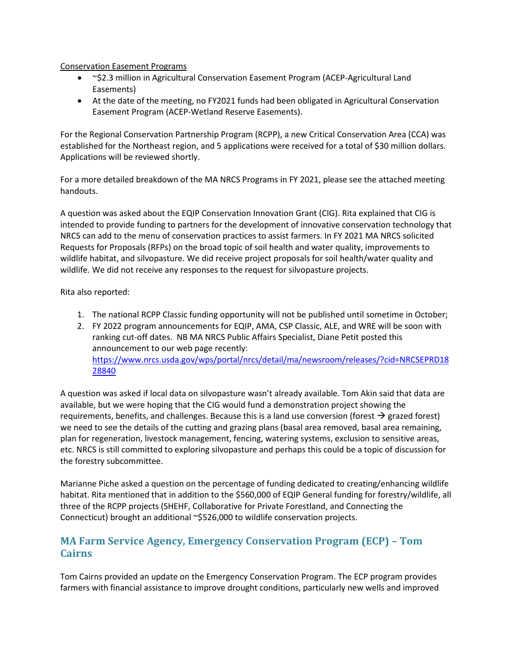Conservation Easement Programs

- ~\$2.3 million in Agricultural Conservation Easement Program (ACEP-Agricultural Land Easements)
- At the date of the meeting, no FY2021 funds had been obligated in Agricultural Conservation Easement Program (ACEP-Wetland Reserve Easements).

For the Regional Conservation Partnership Program (RCPP), a new Critical Conservation Area (CCA) was established for the Northeast region, and 5 applications were received for a total of \$30 million dollars. Applications will be reviewed shortly.

For a more detailed breakdown of the MA NRCS Programs in FY 2021, please see the attached meeting handouts.

A question was asked about the EQIP Conservation Innovation Grant (CIG). Rita explained that CIG is intended to provide funding to partners for the development of innovative conservation technology that NRCS can add to the menu of conservation practices to assist farmers. In FY 2021 MA NRCS solicited Requests for Proposals (RFPs) on the broad topic of soil health and water quality, improvements to wildlife habitat, and silvopasture. We did receive project proposals for soil health/water quality and wildlife. We did not receive any responses to the request for silvopasture projects.

Rita also reported:

- 1. The national RCPP Classic funding opportunity will not be published until sometime in October;
- 2. FY 2022 program announcements for EQIP, AMA, CSP Classic, ALE, and WRE will be soon with ranking cut-off dates. NB MA NRCS Public Affairs Specialist, Diane Petit posted this announcement to our web page recently: [https://www.nrcs.usda.gov/wps/portal/nrcs/detail/ma/newsroom/releases/?cid=NRCSEPRD18](https://www.nrcs.usda.gov/wps/portal/nrcs/detail/ma/newsroom/releases/?cid=NRCSEPRD1828840) [28840](https://www.nrcs.usda.gov/wps/portal/nrcs/detail/ma/newsroom/releases/?cid=NRCSEPRD1828840)

A question was asked if local data on silvopasture wasn't already available. Tom Akin said that data are available, but we were hoping that the CIG would fund a demonstration project showing the requirements, benefits, and challenges. Because this is a land use conversion (forest  $\rightarrow$  grazed forest) we need to see the details of the cutting and grazing plans (basal area removed, basal area remaining, plan for regeneration, livestock management, fencing, watering systems, exclusion to sensitive areas, etc. NRCS is still committed to exploring silvopasture and perhaps this could be a topic of discussion for the forestry subcommittee.

Marianne Piche asked a question on the percentage of funding dedicated to creating/enhancing wildlife habitat. Rita mentioned that in addition to the \$560,000 of EQIP General funding for forestry/wildlife, all three of the RCPP projects (SHEHF, Collaborative for Private Forestland, and Connecting the Connecticut) brought an additional ~\$526,000 to wildlife conservation projects.

# **MA Farm Service Agency, Emergency Conservation Program (ECP) – Tom Cairns**

Tom Cairns provided an update on the Emergency Conservation Program. The ECP program provides farmers with financial assistance to improve drought conditions, particularly new wells and improved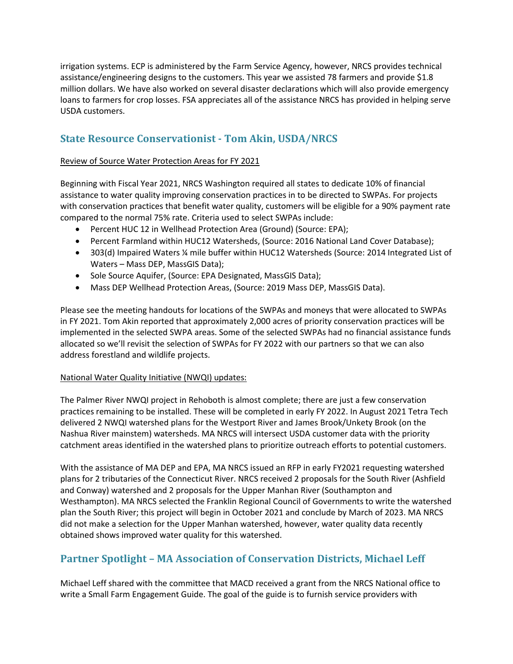irrigation systems. ECP is administered by the Farm Service Agency, however, NRCS provides technical assistance/engineering designs to the customers. This year we assisted 78 farmers and provide \$1.8 million dollars. We have also worked on several disaster declarations which will also provide emergency loans to farmers for crop losses. FSA appreciates all of the assistance NRCS has provided in helping serve USDA customers.

# **State Resource Conservationist - Tom Akin, USDA/NRCS**

#### Review of Source Water Protection Areas for FY 2021

Beginning with Fiscal Year 2021, NRCS Washington required all states to dedicate 10% of financial assistance to water quality improving conservation practices in to be directed to SWPAs. For projects with conservation practices that benefit water quality, customers will be eligible for a 90% payment rate compared to the normal 75% rate. Criteria used to select SWPAs include:

- Percent HUC 12 in Wellhead Protection Area (Ground) (Source: EPA);
- Percent Farmland within HUC12 Watersheds, (Source: 2016 National Land Cover Database);
- 303(d) Impaired Waters ¼ mile buffer within HUC12 Watersheds (Source: 2014 Integrated List of Waters – Mass DEP, MassGIS Data);
- Sole Source Aquifer, (Source: EPA Designated, MassGIS Data);
- Mass DEP Wellhead Protection Areas, (Source: 2019 Mass DEP, MassGIS Data).

Please see the meeting handouts for locations of the SWPAs and moneys that were allocated to SWPAs in FY 2021. Tom Akin reported that approximately 2,000 acres of priority conservation practices will be implemented in the selected SWPA areas. Some of the selected SWPAs had no financial assistance funds allocated so we'll revisit the selection of SWPAs for FY 2022 with our partners so that we can also address forestland and wildlife projects.

#### National Water Quality Initiative (NWQI) updates:

The Palmer River NWQI project in Rehoboth is almost complete; there are just a few conservation practices remaining to be installed. These will be completed in early FY 2022. In August 2021 Tetra Tech delivered 2 NWQI watershed plans for the Westport River and James Brook/Unkety Brook (on the Nashua River mainstem) watersheds. MA NRCS will intersect USDA customer data with the priority catchment areas identified in the watershed plans to prioritize outreach efforts to potential customers.

With the assistance of MA DEP and EPA, MA NRCS issued an RFP in early FY2021 requesting watershed plans for 2 tributaries of the Connecticut River. NRCS received 2 proposals for the South River (Ashfield and Conway) watershed and 2 proposals for the Upper Manhan River (Southampton and Westhampton). MA NRCS selected the Franklin Regional Council of Governments to write the watershed plan the South River; this project will begin in October 2021 and conclude by March of 2023. MA NRCS did not make a selection for the Upper Manhan watershed, however, water quality data recently obtained shows improved water quality for this watershed.

# **Partner Spotlight – MA Association of Conservation Districts, Michael Leff**

Michael Leff shared with the committee that MACD received a grant from the NRCS National office to write a Small Farm Engagement Guide. The goal of the guide is to furnish service providers with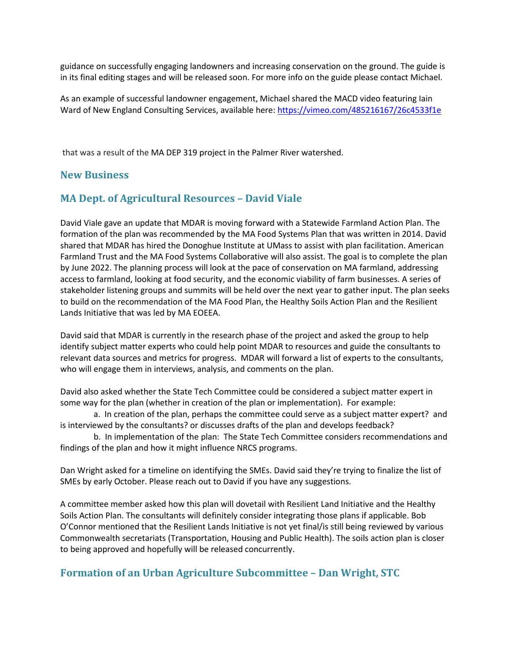guidance on successfully engaging landowners and increasing conservation on the ground. The guide is in its final editing stages and will be released soon. For more info on the guide please contact Michael.

As an example of successful landowner engagement, Michael shared the MACD video featuring Iain Ward of New England Consulting Services, available here:<https://vimeo.com/485216167/26c4533f1e>

that was a result of the MA DEP 319 project in the Palmer River watershed.

### **New Business**

### **MA Dept. of Agricultural Resources – David Viale**

David Viale gave an update that MDAR is moving forward with a Statewide Farmland Action Plan. The formation of the plan was recommended by the MA Food Systems Plan that was written in 2014. David shared that MDAR has hired the Donoghue Institute at UMass to assist with plan facilitation. American Farmland Trust and the MA Food Systems Collaborative will also assist. The goal is to complete the plan by June 2022. The planning process will look at the pace of conservation on MA farmland, addressing access to farmland, looking at food security, and the economic viability of farm businesses. A series of stakeholder listening groups and summits will be held over the next year to gather input. The plan seeks to build on the recommendation of the MA Food Plan, the Healthy Soils Action Plan and the Resilient Lands Initiative that was led by MA EOEEA.

David said that MDAR is currently in the research phase of the project and asked the group to help identify subject matter experts who could help point MDAR to resources and guide the consultants to relevant data sources and metrics for progress. MDAR will forward a list of experts to the consultants, who will engage them in interviews, analysis, and comments on the plan.

David also asked whether the State Tech Committee could be considered a subject matter expert in some way for the plan (whether in creation of the plan or implementation). For example:

a. In creation of the plan, perhaps the committee could serve as a subject matter expert? and is interviewed by the consultants? or discusses drafts of the plan and develops feedback?

b. In implementation of the plan: The State Tech Committee considers recommendations and findings of the plan and how it might influence NRCS programs.

Dan Wright asked for a timeline on identifying the SMEs. David said they're trying to finalize the list of SMEs by early October. Please reach out to David if you have any suggestions.

A committee member asked how this plan will dovetail with Resilient Land Initiative and the Healthy Soils Action Plan. The consultants will definitely consider integrating those plans if applicable. Bob O'Connor mentioned that the Resilient Lands Initiative is not yet final/is still being reviewed by various Commonwealth secretariats (Transportation, Housing and Public Health). The soils action plan is closer to being approved and hopefully will be released concurrently.

### **Formation of an Urban Agriculture Subcommittee – Dan Wright, STC**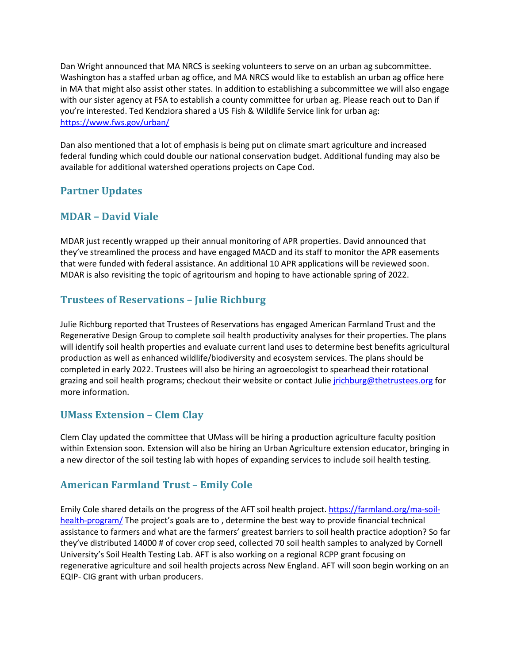Dan Wright announced that MA NRCS is seeking volunteers to serve on an urban ag subcommittee. Washington has a staffed urban ag office, and MA NRCS would like to establish an urban ag office here in MA that might also assist other states. In addition to establishing a subcommittee we will also engage with our sister agency at FSA to establish a county committee for urban ag. Please reach out to Dan if you're interested. Ted Kendziora shared a US Fish & Wildlife Service link for urban ag: <https://www.fws.gov/urban/>

Dan also mentioned that a lot of emphasis is being put on climate smart agriculture and increased federal funding which could double our national conservation budget. Additional funding may also be available for additional watershed operations projects on Cape Cod.

# **Partner Updates**

# **MDAR – David Viale**

MDAR just recently wrapped up their annual monitoring of APR properties. David announced that they've streamlined the process and have engaged MACD and its staff to monitor the APR easements that were funded with federal assistance. An additional 10 APR applications will be reviewed soon. MDAR is also revisiting the topic of agritourism and hoping to have actionable spring of 2022.

# **Trustees of Reservations – Julie Richburg**

Julie Richburg reported that Trustees of Reservations has engaged American Farmland Trust and the Regenerative Design Group to complete soil health productivity analyses for their properties. The plans will identify soil health properties and evaluate current land uses to determine best benefits agricultural production as well as enhanced wildlife/biodiversity and ecosystem services. The plans should be completed in early 2022. Trustees will also be hiring an agroecologist to spearhead their rotational grazing and soil health programs; checkout their website or contact Julie [jrichburg@thetrustees.org](mailto:jrichburg@thetrustees.org) for more information.

# **UMass Extension – Clem Clay**

Clem Clay updated the committee that UMass will be hiring a production agriculture faculty position within Extension soon. Extension will also be hiring an Urban Agriculture extension educator, bringing in a new director of the soil testing lab with hopes of expanding services to include soil health testing.

# **American Farmland Trust – Emily Cole**

Emily Cole shared details on the progress of the AFT soil health project[. https://farmland.org/ma-soil](https://farmland.org/ma-soil-health-program/)[health-program/](https://farmland.org/ma-soil-health-program/) The project's goals are to , determine the best way to provide financial technical assistance to farmers and what are the farmers' greatest barriers to soil health practice adoption? So far they've distributed 14000 # of cover crop seed, collected 70 soil health samples to analyzed by Cornell University's Soil Health Testing Lab. AFT is also working on a regional RCPP grant focusing on regenerative agriculture and soil health projects across New England. AFT will soon begin working on an EQIP- CIG grant with urban producers.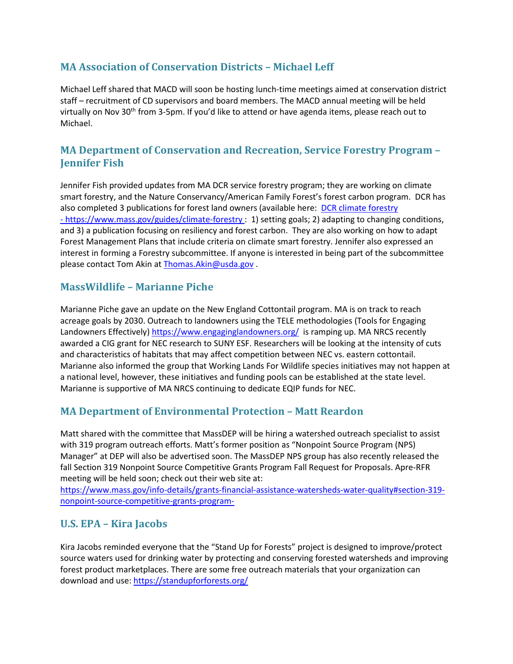# **MA Association of Conservation Districts – Michael Leff**

Michael Leff shared that MACD will soon be hosting lunch-time meetings aimed at conservation district staff – recruitment of CD supervisors and board members. The MACD annual meeting will be held virtually on Nov 30th from 3-5pm. If you'd like to attend or have agenda items, please reach out to Michael.

# **MA Department of Conservation and Recreation, Service Forestry Program – Jennifer Fish**

Jennifer Fish provided updates from MA DCR service forestry program; they are working on climate smart forestry, and the Nature Conservancy/American Family Forest's forest carbon program. DCR has also completed 3 publications for forest land owners (available here: DCR climate forestry - <https://www.mass.gov/guides/climate-forestry> : 1) setting goals; 2) adapting to changing conditions, and 3) a publication focusing on resiliency and forest carbon. They are also working on how to adapt Forest Management Plans that include criteria on climate smart forestry. Jennifer also expressed an interest in forming a Forestry subcommittee. If anyone is interested in being part of the subcommittee please contact Tom Akin at Thomas. Akin@usda.gov.

### **MassWildlife – Marianne Piche**

Marianne Piche gave an update on the New England Cottontail program. MA is on track to reach acreage goals by 2030. Outreach to landowners using the TELE methodologies (Tools for Engaging Landowners Effectively)<https://www.engaginglandowners.org/>is ramping up. MA NRCS recently awarded a CIG grant for NEC research to SUNY ESF. Researchers will be looking at the intensity of cuts and characteristics of habitats that may affect competition between NEC vs. eastern cottontail. Marianne also informed the group that Working Lands For Wildlife species initiatives may not happen at a national level, however, these initiatives and funding pools can be established at the state level. Marianne is supportive of MA NRCS continuing to dedicate EQIP funds for NEC.

# **MA Department of Environmental Protection – Matt Reardon**

Matt shared with the committee that MassDEP will be hiring a watershed outreach specialist to assist with 319 program outreach efforts. Matt's former position as "Nonpoint Source Program (NPS) Manager" at DEP will also be advertised soon. The MassDEP NPS group has also recently released the fall Section 319 Nonpoint Source Competitive Grants Program Fall Request for Proposals. Apre-RFR meeting will be held soon; check out their web site at:

[https://www.mass.gov/info-details/grants-financial-assistance-watersheds-water-quality#section-319](https://www.mass.gov/info-details/grants-financial-assistance-watersheds-water-quality#section-319-nonpoint-source-competitive-grants-program-) [nonpoint-source-competitive-grants-program-](https://www.mass.gov/info-details/grants-financial-assistance-watersheds-water-quality#section-319-nonpoint-source-competitive-grants-program-)

# **U.S. EPA – Kira Jacobs**

Kira Jacobs reminded everyone that the "Stand Up for Forests" project is designed to improve/protect source waters used for drinking water by protecting and conserving forested watersheds and improving forest product marketplaces. There are some free outreach materials that your organization can download and use[: https://standupforforests.org/](https://standupforforests.org/)